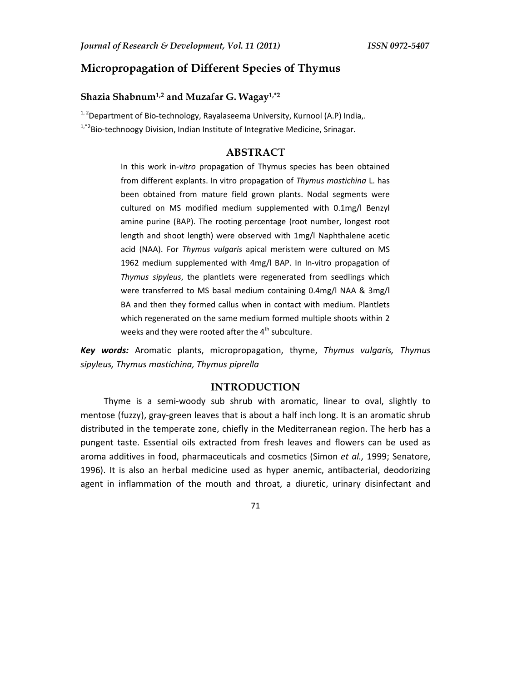# **Micropropagation of Different Species of Thymus**

# **Shazia Shabnum1,2 and Muzafar G. Wagay1,\*2**

<sup>1, 2</sup>Department of Bio-technology, Rayalaseema University, Kurnool (A.P) India,.  $1,1$ <sup>+2</sup>Bio-technoogy Division, Indian Institute of Integrative Medicine, Srinagar.

**ABSTRACT** 

In this work in*-vitro* propagation of Thymus species has been obtained from different explants. In vitro propagation of *Thymus mastichina* L. has been obtained from mature field grown plants. Nodal segments were cultured on MS modified medium supplemented with 0.1mg/l Benzyl amine purine (BAP). The rooting percentage (root number, longest root length and shoot length) were observed with 1mg/l Naphthalene acetic acid (NAA). For *Thymus vulgaris* apical meristem were cultured on MS 1962 medium supplemented with 4mg/l BAP. In In-vitro propagation of *Thymus sipyleus*, the plantlets were regenerated from seedlings which were transferred to MS basal medium containing 0.4mg/l NAA & 3mg/l BA and then they formed callus when in contact with medium. Plantlets which regenerated on the same medium formed multiple shoots within 2 weeks and they were rooted after the  $4<sup>th</sup>$  subculture.

*Key words:* Aromatic plants, micropropagation, thyme, *Thymus vulgaris, Thymus sipyleus, Thymus mastichina, Thymus piprella*

## **INTRODUCTION**

Thyme is a semi-woody sub shrub with aromatic, linear to oval, slightly to mentose (fuzzy), gray-green leaves that is about a half inch long. It is an aromatic shrub distributed in the temperate zone, chiefly in the Mediterranean region. The herb has a pungent taste. Essential oils extracted from fresh leaves and flowers can be used as aroma additives in food, pharmaceuticals and cosmetics (Simon *et al.,* 1999; Senatore, 1996). It is also an herbal medicine used as hyper anemic, antibacterial, deodorizing agent in inflammation of the mouth and throat, a diuretic, urinary disinfectant and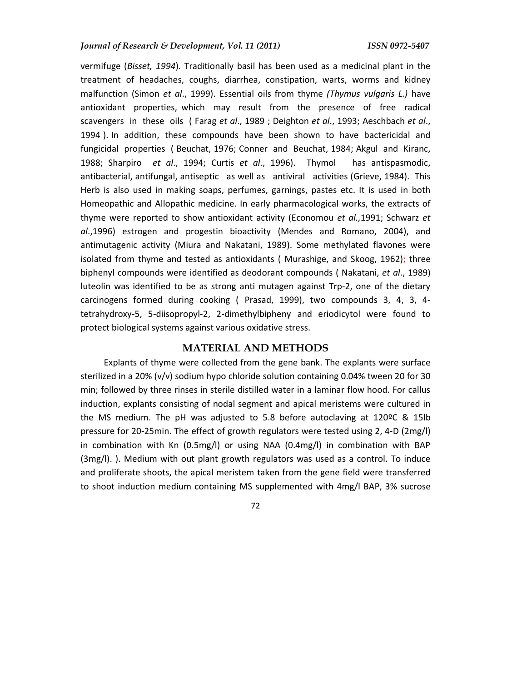vermifuge (*Bisset, 1994*). Traditionally basil has been used as a medicinal plant in the treatment of headaches, coughs, diarrhea, constipation, warts, worms and kidney malfunction (Simon *et al*., 1999). Essential oils from thyme *(Thymus vulgaris L.)* have antioxidant properties, which may result from the presence of free radical scavengers in these oils ( Farag *et al*., 1989 ; Deighton *et al*., 1993; Aeschbach *et al*., 1994 ). In addition, these compounds have been shown to have bactericidal and fungicidal properties ( Beuchat, 1976; Conner and Beuchat, 1984; Akgul and Kiranc, 1988; Sharpiro *et al*., 1994; Curtis *et al*., 1996). Thymol has antispasmodic, antibacterial, antifungal, antiseptic as well as antiviral activities (Grieve, 1984). This Herb is also used in making soaps, perfumes, garnings, pastes etc. It is used in both Homeopathic and Allopathic medicine. In early pharmacological works, the extracts of thyme were reported to show antioxidant activity (Economou *et al.,*1991; Schwarz *et al*.,1996) estrogen and progestin bioactivity (Mendes and Romano, 2004), and antimutagenic activity (Miura and Nakatani, 1989). Some methylated flavones were isolated from thyme and tested as antioxidants ( Murashige, and Skoog, 1962); three biphenyl compounds were identified as deodorant compounds ( Nakatani, *et al*., 1989) luteolin was identified to be as strong anti mutagen against Trp-2, one of the dietary carcinogens formed during cooking ( Prasad, 1999), two compounds 3, 4, 3, 4 tetrahydroxy-5, 5-diisopropyl-2, 2-dimethylbipheny and eriodicytol were found to protect biological systems against various oxidative stress.

#### **MATERIAL AND METHODS**

Explants of thyme were collected from the gene bank. The explants were surface sterilized in a 20% (v/v) sodium hypo chloride solution containing 0.04% tween 20 for 30 min; followed by three rinses in sterile distilled water in a laminar flow hood. For callus induction, explants consisting of nodal segment and apical meristems were cultured in the MS medium. The pH was adjusted to 5.8 before autoclaving at 120ºC & 15lb pressure for 20-25min. The effect of growth regulators were tested using 2, 4-D (2mg/l) in combination with Kn (0.5mg/l) or using NAA (0.4mg/l) in combination with BAP (3mg/l). ). Medium with out plant growth regulators was used as a control. To induce and proliferate shoots, the apical meristem taken from the gene field were transferred to shoot induction medium containing MS supplemented with 4mg/l BAP, 3% sucrose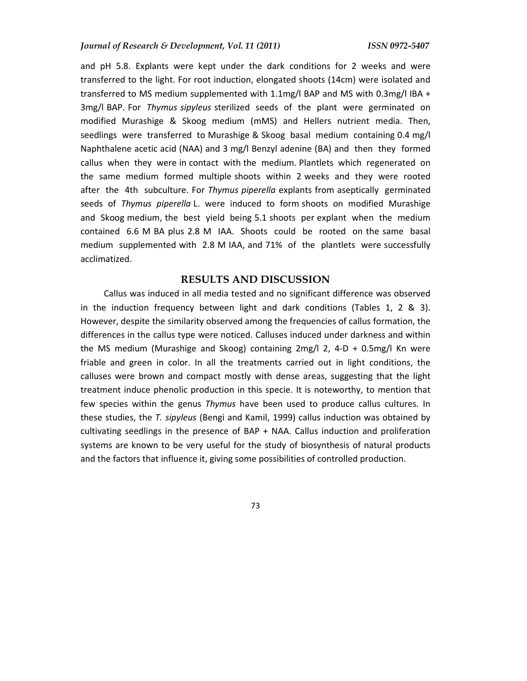and pH 5.8. Explants were kept under the dark conditions for 2 weeks and were transferred to the light. For root induction, elongated shoots (14cm) were isolated and transferred to MS medium supplemented with 1.1mg/l BAP and MS with 0.3mg/l IBA + 3mg/l BAP. For *Thymus sipyleus* sterilized seeds of the plant were germinated on modified Murashige & Skoog medium (mMS) and Hellers nutrient media. Then, seedlings were transferred to Murashige & Skoog basal medium containing 0.4 mg/l Naphthalene acetic acid (NAA) and 3 mg/l Benzyl adenine (BA) and then they formed callus when they were in contact with the medium. Plantlets which regenerated on the same medium formed multiple shoots within 2 weeks and they were rooted after the 4th subculture. For *Thymus piperella* explants from aseptically germinated seeds of *Thymus piperella* L. were induced to form shoots on modified Murashige and Skoog medium, the best yield being 5.1 shoots per explant when the medium contained 6.6 M BA plus 2.8 M IAA. Shoots could be rooted on the same basal medium supplemented with 2.8 M IAA, and 71% of the plantlets were successfully acclimatized.

### **RESULTS AND DISCUSSION**

Callus was induced in all media tested and no significant difference was observed in the induction frequency between light and dark conditions (Tables 1, 2 & 3). However, despite the similarity observed among the frequencies of callus formation, the differences in the callus type were noticed. Calluses induced under darkness and within the MS medium (Murashige and Skoog) containing 2mg/l 2, 4-D + 0.5mg/l Kn were friable and green in color. In all the treatments carried out in light conditions, the calluses were brown and compact mostly with dense areas, suggesting that the light treatment induce phenolic production in this specie. It is noteworthy, to mention that few species within the genus *Thymus* have been used to produce callus cultures. In these studies, the *T. sipyleus* (Bengi and Kamil, 1999) callus induction was obtained by cultivating seedlings in the presence of BAP + NAA. Callus induction and proliferation systems are known to be very useful for the study of biosynthesis of natural products and the factors that influence it, giving some possibilities of controlled production.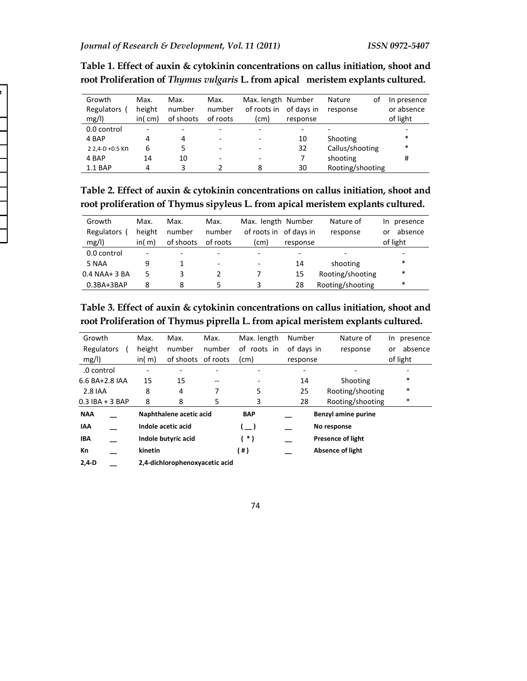| Growth          | Max.   | Max.                     | Max.                     | Max. length Number |            | Nature<br>οt     | In presence |
|-----------------|--------|--------------------------|--------------------------|--------------------|------------|------------------|-------------|
| Regulators (    | height | number                   | number                   | of roots in        | of days in | response         | or absence  |
| mg/l)           | in(cm) | of shoots                | of roots                 | (cm)               | response   |                  | of light    |
| 0.0 control     |        | $\overline{\phantom{0}}$ | $\overline{\phantom{0}}$ |                    |            |                  |             |
| 4 BAP           | 4      | 4                        | $\overline{\phantom{a}}$ |                    | 10         | Shooting         | *           |
| 2 2.4-D +0.5 KN | 6      | 5                        | $\overline{\phantom{a}}$ |                    | 32         | Callus/shooting  | $\ast$      |
| 4 BAP           | 14     | 10                       | $\overline{\phantom{a}}$ |                    | 7          | shooting         | #           |
| 1.1 BAP         | 4      | 3                        |                          | 8                  | 30         | Rooting/shooting |             |
|                 |        |                          |                          |                    |            |                  |             |

**Table 1. Effect of auxin & cytokinin concentrations on callus initiation, shoot and root Proliferation of** *Thymus vulgaris* **L. from apical meristem explants cultured.** 

**Table 2. Effect of auxin & cytokinin concentrations on callus initiation, shoot and root proliferation of Thymus sipyleus L. from apical meristem explants cultured.** 

| Growth          | Max.   | Max.      | Max.                     | Max. length Number       |          | Nature of        | presence<br>In. |
|-----------------|--------|-----------|--------------------------|--------------------------|----------|------------------|-----------------|
| Regulators      | height | number    | number                   | of roots in of days in   |          | response         | absence<br>or   |
| mg/l            | in(m)  | of shoots | of roots                 | (cm)                     | response |                  | of light        |
| 0.0 control     | -      |           | $\overline{\phantom{0}}$ |                          |          |                  |                 |
| 5 NAA           | 9      |           | $\overline{\phantom{a}}$ | $\overline{\phantom{0}}$ | 14       | shooting         | *               |
| $0.4$ NAA+ 3 BA | 5      | 3         |                          |                          | 15       | Rooting/shooting | $\ast$          |
| $0.3BA+3BAP$    | 8      | 8         |                          | 3                        | 28       | Rooting/shooting | *               |

**Table 3. Effect of auxin & cytokinin concentrations on callus initiation, shoot and root Proliferation of Thymus piprella L. from apical meristem explants cultured.** 

| Growth            | Max.                        | Max.                           | Max.   | Max. length   | Number     | Nature of                  | In presence   |  |
|-------------------|-----------------------------|--------------------------------|--------|---------------|------------|----------------------------|---------------|--|
| Regulators        | height                      | number                         | number | of roots in   | of days in | response                   | absence<br>or |  |
| mg/l)             | in(m)<br>of shoots of roots |                                |        | (cm)          | response   |                            | of light      |  |
| .0 control        |                             |                                |        |               |            |                            |               |  |
| 6.6 BA+2.8 IAA    | 15                          | 15                             | --     |               | 14         | Shooting                   | $\ast$        |  |
| 2.8 IAA           | 8                           | 4                              |        | 5             | 25         | Rooting/shooting           | $\ast$        |  |
| $0.3$ IBA + 3 BAP | 8                           | 8                              | 5      | 3             | 28         | Rooting/shooting           | $\ast$        |  |
| <b>NAA</b>        |                             | Naphthalene acetic acid        |        | <b>BAP</b>    |            | <b>Benzyl amine purine</b> |               |  |
| <b>IAA</b>        | Indole acetic acid          |                                |        | $\rightarrow$ |            | No response                |               |  |
| <b>IBA</b>        |                             | Indole butyric acid            |        | * )           |            | <b>Presence of light</b>   |               |  |
| Кn                | kinetin                     |                                |        | (#)           |            | Absence of light           |               |  |
| $2.4-D$           |                             | 2,4-dichlorophenoxyacetic acid |        |               |            |                            |               |  |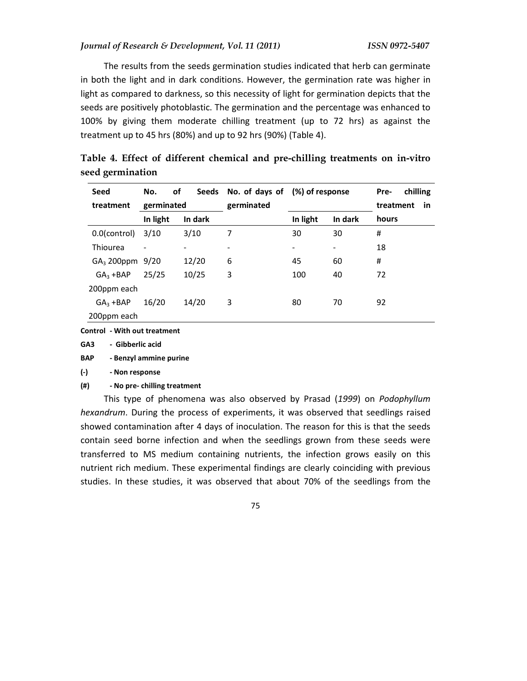The results from the seeds germination studies indicated that herb can germinate in both the light and in dark conditions. However, the germination rate was higher in light as compared to darkness, so this necessity of light for germination depicts that the seeds are positively photoblastic. The germination and the percentage was enhanced to 100% by giving them moderate chilling treatment (up to 72 hrs) as against the treatment up to 45 hrs (80%) and up to 92 hrs (90%) (Table 4).

| Seed<br>treatment | of<br>No.<br>germinated |         | Seeds No. of days of<br>germinated | (%) of response |         | chilling<br>Pre-<br>treatment<br>in |  |
|-------------------|-------------------------|---------|------------------------------------|-----------------|---------|-------------------------------------|--|
|                   | In light                | In dark |                                    | In light        | In dark | hours                               |  |
| 0.0(control)      | 3/10                    | 3/10    | 7                                  | 30              | 30      | #                                   |  |
| Thiourea          |                         |         |                                    | $\overline{a}$  | -       | 18                                  |  |
| $GA3$ 200ppm      | 9/20                    | 12/20   | 6                                  | 45              | 60      | #                                   |  |
| $GA3 + BAP$       | 25/25                   | 10/25   | 3                                  | 100             | 40      | 72                                  |  |
| 200ppm each       |                         |         |                                    |                 |         |                                     |  |
| $GA3 + BAP$       | 16/20                   | 14/20   | 3                                  | 80              | 70      | 92                                  |  |
| 200ppm each       |                         |         |                                    |                 |         |                                     |  |

|                  |  |  | Table 4. Effect of different chemical and pre-chilling treatments on in-vitro |  |  |
|------------------|--|--|-------------------------------------------------------------------------------|--|--|
| seed germination |  |  |                                                                               |  |  |

**Control - With out treatment** 

**GA3 - Gibberlic acid** 

**BAP - Benzyl ammine purine** 

**(-) - Non response** 

#### **(#) - No pre- chilling treatment**

This type of phenomena was also observed by Prasad (*1999*) on *Podophyllum hexandrum*. During the process of experiments, it was observed that seedlings raised showed contamination after 4 days of inoculation. The reason for this is that the seeds contain seed borne infection and when the seedlings grown from these seeds were transferred to MS medium containing nutrients, the infection grows easily on this nutrient rich medium. These experimental findings are clearly coinciding with previous studies. In these studies, it was observed that about 70% of the seedlings from the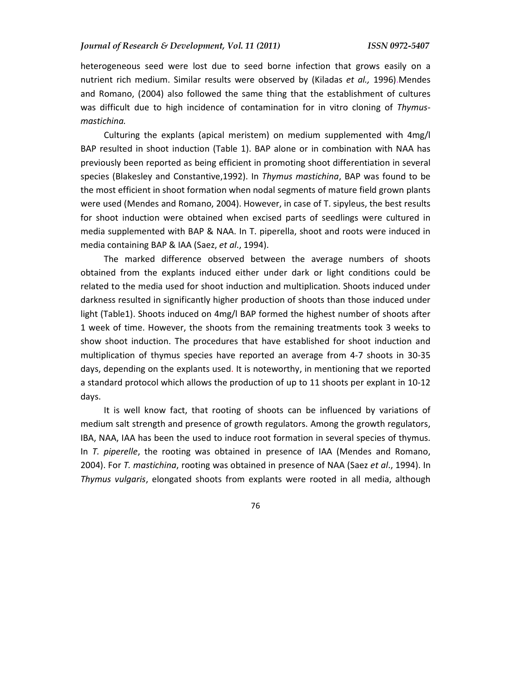heterogeneous seed were lost due to seed borne infection that grows easily on a nutrient rich medium. Similar results were observed by (Kiladas *et al.,* 1996).Mendes and Romano, (2004) also followed the same thing that the establishment of cultures was difficult due to high incidence of contamination for in vitro cloning of *Thymusmastichina.*

Culturing the explants (apical meristem) on medium supplemented with 4mg/l BAP resulted in shoot induction (Table 1). BAP alone or in combination with NAA has previously been reported as being efficient in promoting shoot differentiation in several species (Blakesley and Constantive,1992). In *Thymus mastichina*, BAP was found to be the most efficient in shoot formation when nodal segments of mature field grown plants were used (Mendes and Romano, 2004). However, in case of T. sipyleus, the best results for shoot induction were obtained when excised parts of seedlings were cultured in media supplemented with BAP & NAA. In T. piperella, shoot and roots were induced in media containing BAP & IAA (Saez, *et al*., 1994).

The marked difference observed between the average numbers of shoots obtained from the explants induced either under dark or light conditions could be related to the media used for shoot induction and multiplication. Shoots induced under darkness resulted in significantly higher production of shoots than those induced under light (Table1). Shoots induced on 4mg/l BAP formed the highest number of shoots after 1 week of time. However, the shoots from the remaining treatments took 3 weeks to show shoot induction. The procedures that have established for shoot induction and multiplication of thymus species have reported an average from 4-7 shoots in 30-35 days, depending on the explants used. It is noteworthy, in mentioning that we reported a standard protocol which allows the production of up to 11 shoots per explant in 10-12 days.

It is well know fact, that rooting of shoots can be influenced by variations of medium salt strength and presence of growth regulators. Among the growth regulators, IBA, NAA, IAA has been the used to induce root formation in several species of thymus. In *T. piperelle*, the rooting was obtained in presence of IAA (Mendes and Romano, 2004). For *T. mastichina*, rooting was obtained in presence of NAA (Saez *et al*., 1994). In *Thymus vulgaris*, elongated shoots from explants were rooted in all media, although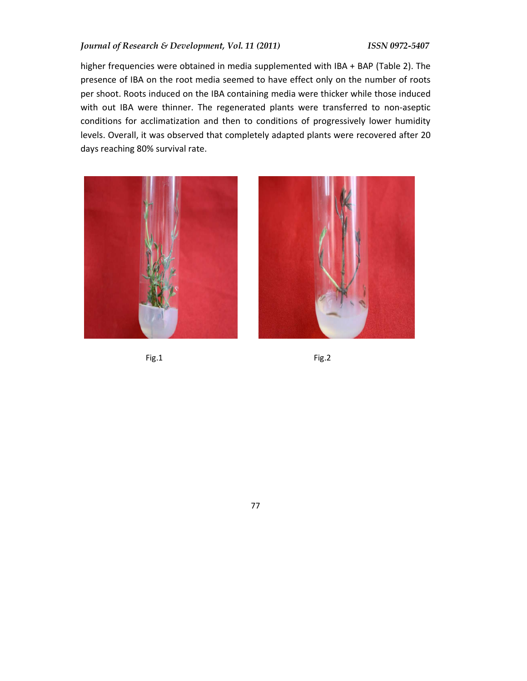### *Journal of Research & Development, Vol. 11 (2011) ISSN 0972-5407*

higher frequencies were obtained in media supplemented with IBA + BAP (Table 2). The presence of IBA on the root media seemed to have effect only on the number of roots per shoot. Roots induced on the IBA containing media were thicker while those induced with out IBA were thinner. The regenerated plants were transferred to non-aseptic conditions for acclimatization and then to conditions of progressively lower humidity levels. Overall, it was observed that completely adapted plants were recovered after 20 days reaching 80% survival rate.



Fig.1 Fig.2



77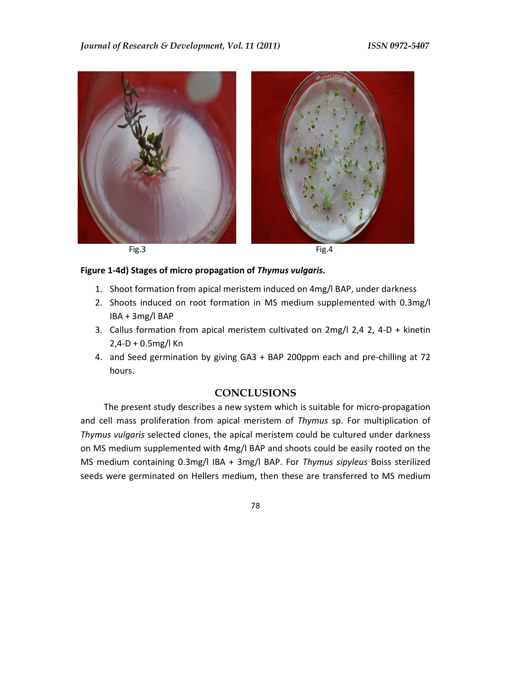### *Journal of Research & Development, Vol. 11 (2011) ISSN 0972-5407*





Fig.3 Fig.4

## **Figure 1-4d) Stages of micro propagation of** *Thymus vulgaris***.**

- 1. Shoot formation from apical meristem induced on 4mg/l BAP, under darkness
- 2. Shoots induced on root formation in MS medium supplemented with 0.3mg/l IBA + 3mg/l BAP
- 3. Callus formation from apical meristem cultivated on 2mg/l 2,4 2, 4-D + kinetin 2,4-D + 0.5mg/l Kn
- 4. and Seed germination by giving GA3 + BAP 200ppm each and pre-chilling at 72 hours.

# **CONCLUSIONS**

The present study describes a new system which is suitable for micro-propagation and cell mass proliferation from apical meristem of *Thymus* sp. For multiplication of *Thymus vulgaris* selected clones, the apical meristem could be cultured under darkness on MS medium supplemented with 4mg/l BAP and shoots could be easily rooted on the MS medium containing 0.3mg/l IBA + 3mg/l BAP. For *Thymus sipyleus* Boiss sterilized seeds were germinated on Hellers medium, then these are transferred to MS medium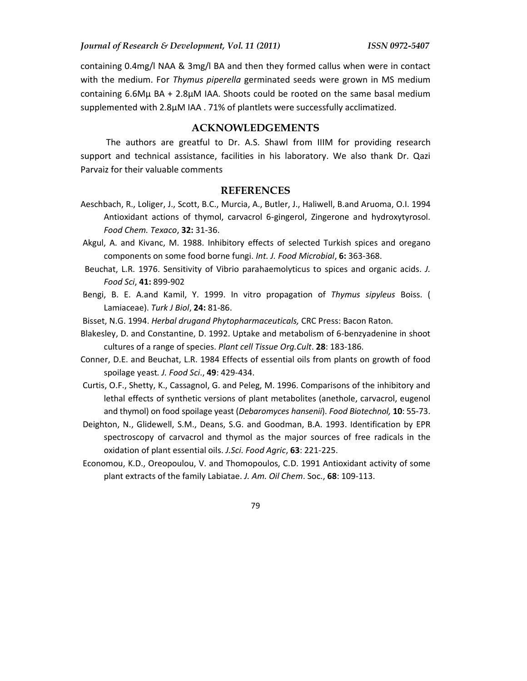containing 0.4mg/l NAA & 3mg/l BA and then they formed callus when were in contact with the medium. For *Thymus piperella* germinated seeds were grown in MS medium containing 6.6Mμ BA + 2.8μM IAA. Shoots could be rooted on the same basal medium supplemented with 2.8μM IAA . 71% of plantlets were successfully acclimatized.

## **ACKNOWLEDGEMENTS**

 The authors are greatful to Dr. A.S. Shawl from IIIM for providing research support and technical assistance, facilities in his laboratory. We also thank Dr. Qazi Parvaiz for their valuable comments

#### **REFERENCES**

- Aeschbach, R., Loliger, J., Scott, B.C., Murcia, A., Butler, J., Haliwell, B.and Aruoma, O.I. 1994 Antioxidant actions of thymol, carvacrol 6-gingerol, Zingerone and hydroxytyrosol. *Food Chem. Texaco*, **32:** 31-36.
- Akgul, A. and Kivanc, M. 1988. Inhibitory effects of selected Turkish spices and oregano components on some food borne fungi. *Int. J. Food Microbial*, **6:** 363-368.
- Beuchat, L.R. 1976. Sensitivity of Vibrio parahaemolyticus to spices and organic acids. *J. Food Sci*, **41:** 899-902
- Bengi, B. E. A.and Kamil, Y. 1999. In vitro propagation of *Thymus sipyleus* Boiss. ( Lamiaceae). *Turk J Biol*, **24:** 81-86.
- Bisset, N.G. 1994. *Herbal drugand Phytopharmaceuticals,* CRC Press: Bacon Raton.
- Blakesley, D. and Constantine, D. 1992. Uptake and metabolism of 6-benzyadenine in shoot cultures of a range of species. *Plant cell Tissue Org.Cult*. **28**: 183-186.
- Conner, D.E. and Beuchat, L.R. 1984 Effects of essential oils from plants on growth of food spoilage yeast*. J. Food Sci*., **49**: 429-434.
- Curtis, O.F., Shetty, K., Cassagnol, G. and Peleg, M. 1996. Comparisons of the inhibitory and lethal effects of synthetic versions of plant metabolites (anethole, carvacrol, eugenol and thymol) on food spoilage yeast (*Debaromyces hansenii*). *Food Biotechnol,* **10**: 55-73.
- Deighton, N., Glidewell, S.M., Deans, S.G. and Goodman, B.A. 1993. Identification by EPR spectroscopy of carvacrol and thymol as the major sources of free radicals in the oxidation of plant essential oils. *J.Sci. Food Agric*, **63**: 221-225.
- Economou, K.D., Oreopoulou, V. and Thomopoulos, C.D. 1991 Antioxidant activity of some plant extracts of the family Labiatae. *J. Am. Oil Chem*. Soc., **68**: 109-113.